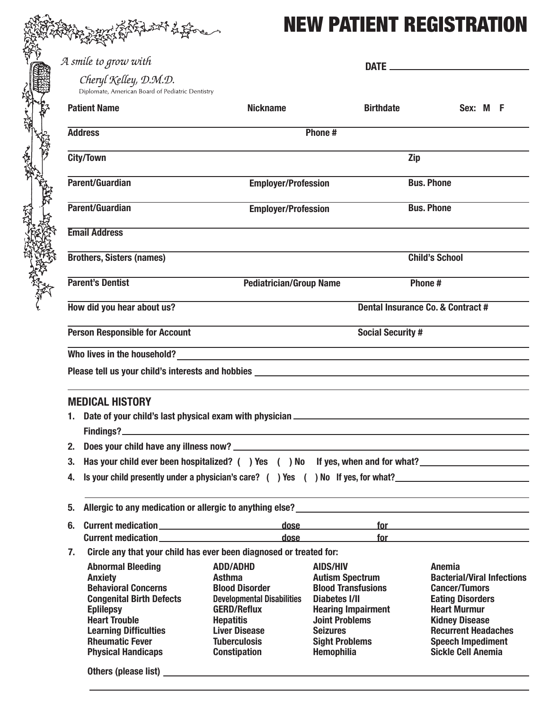## NEW PATIENT REGISTRATION

|    |                                                                                                                                                                                                                                                                                                                                                       |                                                                                  |                                                     | <b>NEW PATIENT REGISTRATION</b>                                                                                                                                                                                                |  |  |
|----|-------------------------------------------------------------------------------------------------------------------------------------------------------------------------------------------------------------------------------------------------------------------------------------------------------------------------------------------------------|----------------------------------------------------------------------------------|-----------------------------------------------------|--------------------------------------------------------------------------------------------------------------------------------------------------------------------------------------------------------------------------------|--|--|
|    | A smile to grow with                                                                                                                                                                                                                                                                                                                                  |                                                                                  |                                                     |                                                                                                                                                                                                                                |  |  |
|    | Cheryl Kelley, D.M.D.<br>Diplomate, American Board of Pediatric Dentistry                                                                                                                                                                                                                                                                             |                                                                                  |                                                     |                                                                                                                                                                                                                                |  |  |
|    | <b>Patient Name</b>                                                                                                                                                                                                                                                                                                                                   | <b>Nickname</b>                                                                  | <b>Birthdate</b>                                    | Sex: M F                                                                                                                                                                                                                       |  |  |
|    | <b>Address</b>                                                                                                                                                                                                                                                                                                                                        | Phone#                                                                           |                                                     |                                                                                                                                                                                                                                |  |  |
|    | <b>City/Town</b>                                                                                                                                                                                                                                                                                                                                      |                                                                                  |                                                     | Zip                                                                                                                                                                                                                            |  |  |
|    | Parent/Guardian                                                                                                                                                                                                                                                                                                                                       | <b>Employer/Profession</b>                                                       |                                                     | <b>Bus. Phone</b>                                                                                                                                                                                                              |  |  |
|    | Parent/Guardian                                                                                                                                                                                                                                                                                                                                       | <b>Employer/Profession</b>                                                       |                                                     | <b>Bus. Phone</b>                                                                                                                                                                                                              |  |  |
|    | <b>Email Address</b>                                                                                                                                                                                                                                                                                                                                  |                                                                                  |                                                     |                                                                                                                                                                                                                                |  |  |
|    | <b>Brothers, Sisters (names)</b>                                                                                                                                                                                                                                                                                                                      |                                                                                  |                                                     | <b>Child's School</b>                                                                                                                                                                                                          |  |  |
|    | <b>Parent's Dentist</b>                                                                                                                                                                                                                                                                                                                               | <b>Pediatrician/Group Name</b>                                                   |                                                     | Phone#                                                                                                                                                                                                                         |  |  |
|    | How did you hear about us?                                                                                                                                                                                                                                                                                                                            |                                                                                  |                                                     | Dental Insurance Co. & Contract #                                                                                                                                                                                              |  |  |
|    | <b>Person Responsible for Account</b><br><b>Social Security #</b>                                                                                                                                                                                                                                                                                     |                                                                                  |                                                     |                                                                                                                                                                                                                                |  |  |
|    | Who lives in the household?                                                                                                                                                                                                                                                                                                                           |                                                                                  |                                                     |                                                                                                                                                                                                                                |  |  |
|    | <u> 1989 - Johann John Stein, markin fan it ferstjer fan de ferstjer fan it ferstjer fan de ferstjer fan de fers</u><br>Please tell us your child's interests and hobbies example and the state of the state of the state of the state of the state of the state of the state of the state of the state of the state of the state of the state of the |                                                                                  |                                                     |                                                                                                                                                                                                                                |  |  |
|    |                                                                                                                                                                                                                                                                                                                                                       |                                                                                  |                                                     |                                                                                                                                                                                                                                |  |  |
|    |                                                                                                                                                                                                                                                                                                                                                       |                                                                                  |                                                     |                                                                                                                                                                                                                                |  |  |
|    | <b>MEDICAL HISTORY</b>                                                                                                                                                                                                                                                                                                                                |                                                                                  |                                                     |                                                                                                                                                                                                                                |  |  |
|    |                                                                                                                                                                                                                                                                                                                                                       |                                                                                  |                                                     |                                                                                                                                                                                                                                |  |  |
|    |                                                                                                                                                                                                                                                                                                                                                       |                                                                                  |                                                     |                                                                                                                                                                                                                                |  |  |
|    |                                                                                                                                                                                                                                                                                                                                                       |                                                                                  |                                                     |                                                                                                                                                                                                                                |  |  |
| 3. |                                                                                                                                                                                                                                                                                                                                                       | Has your child ever been hospitalized? () Yes () No If yes, when and for what?   |                                                     |                                                                                                                                                                                                                                |  |  |
| 4. |                                                                                                                                                                                                                                                                                                                                                       | Is your child presently under a physician's care? () Yes () No If yes, for what? |                                                     |                                                                                                                                                                                                                                |  |  |
|    |                                                                                                                                                                                                                                                                                                                                                       |                                                                                  |                                                     |                                                                                                                                                                                                                                |  |  |
|    |                                                                                                                                                                                                                                                                                                                                                       |                                                                                  |                                                     |                                                                                                                                                                                                                                |  |  |
|    |                                                                                                                                                                                                                                                                                                                                                       |                                                                                  |                                                     | dose for the contract of the contract of the contract of the contract of the contract of the contract of the contract of the contract of the contract of the contract of the contract of the contract of the contract of the c |  |  |
| 7. |                                                                                                                                                                                                                                                                                                                                                       | Circle any that your child has ever been diagnosed or treated for:               |                                                     |                                                                                                                                                                                                                                |  |  |
|    | <b>Abnormal Bleeding</b>                                                                                                                                                                                                                                                                                                                              | <b>ADD/ADHD</b>                                                                  | <b>AIDS/HIV</b>                                     | Anemia                                                                                                                                                                                                                         |  |  |
|    | <b>Anxiety</b><br><b>Behavioral Concerns</b>                                                                                                                                                                                                                                                                                                          | <b>Asthma</b><br><b>Blood Disorder</b>                                           | <b>Autism Spectrum</b><br><b>Blood Transfusions</b> | <b>Bacterial/Viral Infections</b><br><b>Cancer/Tumors</b>                                                                                                                                                                      |  |  |
|    | <b>Congenital Birth Defects</b>                                                                                                                                                                                                                                                                                                                       | <b>Developmental Disabilities</b>                                                | <b>Diabetes I/II</b>                                | <b>Eating Disorders</b>                                                                                                                                                                                                        |  |  |
|    | <b>Eplilepsy</b>                                                                                                                                                                                                                                                                                                                                      | <b>GERD/Reflux</b>                                                               | <b>Hearing Impairment</b>                           | <b>Heart Murmur</b>                                                                                                                                                                                                            |  |  |
|    | <b>Heart Trouble</b><br><b>Learning Difficulties</b>                                                                                                                                                                                                                                                                                                  | <b>Hepatitis</b><br><b>Liver Disease</b>                                         | <b>Joint Problems</b><br><b>Seizures</b>            | <b>Kidney Disease</b>                                                                                                                                                                                                          |  |  |
|    | <b>Rheumatic Fever</b>                                                                                                                                                                                                                                                                                                                                | <b>Tuberculosis</b>                                                              | <b>Sight Problems</b>                               | <b>Recurrent Headaches</b><br><b>Speech Impediment</b>                                                                                                                                                                         |  |  |
|    | <b>Physical Handicaps</b>                                                                                                                                                                                                                                                                                                                             | <b>Constipation</b>                                                              | <b>Hemophilia</b>                                   | <b>Sickle Cell Anemia</b>                                                                                                                                                                                                      |  |  |